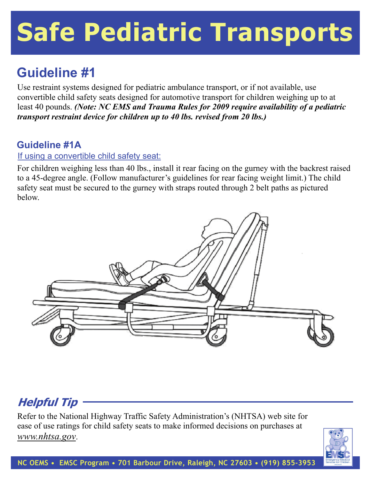# **Safe Pediatric Transports**

### **Guideline #1**

Use restraint systems designed for pediatric ambulance transport, or if not available, use convertible child safety seats designed for automotive transport for children weighing up to at least 40 pounds. *(Note: NC EMS and Trauma Rules for 2009 require availability of a pediatric transport restraint device for children up to 40 lbs. revised from 20 lbs.)*

#### **Guideline #1A**

#### If using a convertible child safety seat:

For children weighing less than 40 lbs., install it rear facing on the gurney with the backrest raised to a 45-degree angle. (Follow manufacturer's guidelines for rear facing weight limit.) The child safety seat must be secured to the gurney with straps routed through 2 belt paths as pictured below.



#### **Helpful Tip**

Refer to the National Highway Traffic Safety Administration's (NHTSA) web site for ease of use ratings for child safety seats to make informed decisions on purchases at *www.nhtsa.gov*.